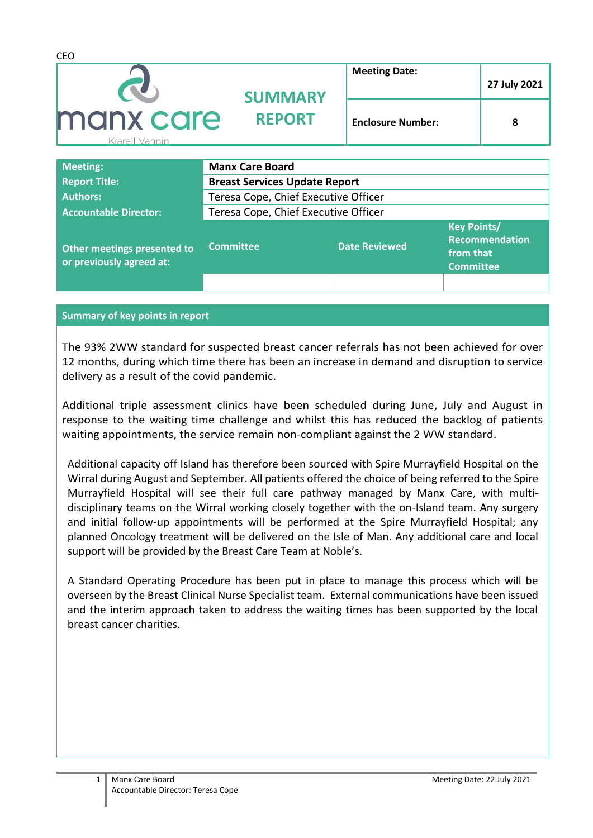| <b>CEO</b>                   |                                      |                          |              |  |
|------------------------------|--------------------------------------|--------------------------|--------------|--|
|                              | <b>SUMMARY</b>                       | <b>Meeting Date:</b>     | 27 July 2021 |  |
| manx care<br>Kiarail Vannin  | <b>REPORT</b>                        | <b>Enclosure Number:</b> | 8            |  |
| <b>Meeting:</b>              | <b>Manx Care Board</b>               |                          |              |  |
| <b>Report Title:</b>         | <b>Breast Services Update Report</b> |                          |              |  |
| <b>Authors:</b>              | Teresa Cope, Chief Executive Officer |                          |              |  |
| <b>Accountable Director:</b> | Teresa Cope, Chief Executive Officer |                          |              |  |

| Other meetings presented to<br>or previously agreed at: | <b>Committee</b> | <b>Date Reviewed</b> | <b>Key Points/</b><br><b>Recommendation</b><br>from that<br><b>Committee</b> |
|---------------------------------------------------------|------------------|----------------------|------------------------------------------------------------------------------|
|                                                         |                  |                      |                                                                              |

## **Summary of key points in report**

The 93% 2WW standard for suspected breast cancer referrals has not been achieved for over 12 months, during which time there has been an increase in demand and disruption to service delivery as a result of the covid pandemic.

Additional triple assessment clinics have been scheduled during June, July and August in response to the waiting time challenge and whilst this has reduced the backlog of patients waiting appointments, the service remain non-compliant against the 2 WW standard.

Additional capacity off Island has therefore been sourced with Spire Murrayfield Hospital on the Wirral during August and September. All patients offered the choice of being referred to the Spire Murrayfield Hospital will see their full care pathway managed by Manx Care, with multidisciplinary teams on the Wirral working closely together with the on-Island team. Any surgery and initial follow-up appointments will be performed at the Spire Murrayfield Hospital; any planned Oncology treatment will be delivered on the Isle of Man. Any additional care and local support will be provided by the Breast Care Team at Noble's.

A Standard Operating Procedure has been put in place to manage this process which will be overseen by the Breast Clinical Nurse Specialist team. External communications have been issued and the interim approach taken to address the waiting times has been supported by the local breast cancer charities.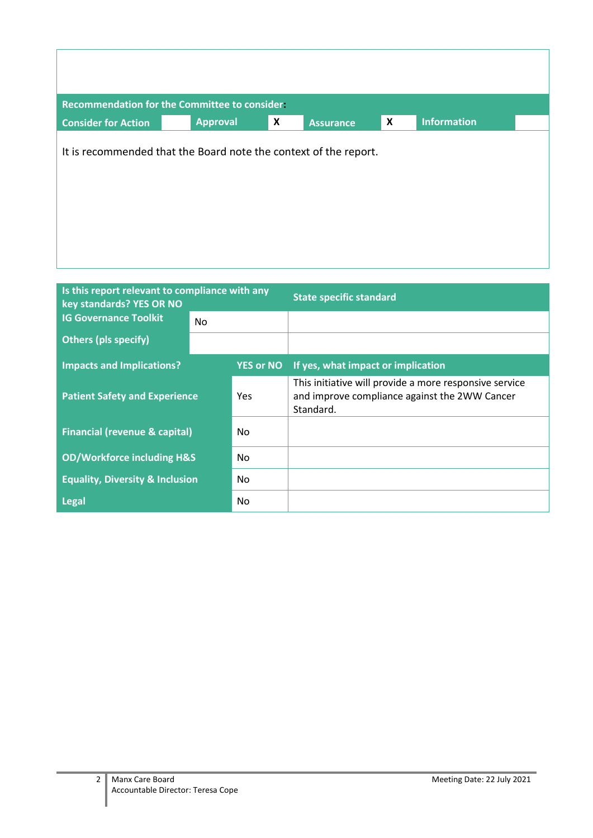|                            | Recommendation for the Committee to consider:                    |   |                  |                           |                    |  |
|----------------------------|------------------------------------------------------------------|---|------------------|---------------------------|--------------------|--|
| <b>Consider for Action</b> | <b>Approval</b>                                                  | X | <b>Assurance</b> | $\boldsymbol{\mathsf{x}}$ | <b>Information</b> |  |
|                            | It is recommended that the Board note the context of the report. |   |                  |                           |                    |  |

| Is this report relevant to compliance with any<br>key standards? YES OR NO |     |                  | <b>State specific standard</b>                                                                                       |
|----------------------------------------------------------------------------|-----|------------------|----------------------------------------------------------------------------------------------------------------------|
| <b>IG Governance Toolkit</b>                                               | No. |                  |                                                                                                                      |
| <b>Others (pls specify)</b>                                                |     |                  |                                                                                                                      |
| <b>Impacts and Implications?</b>                                           |     | <b>YES or NO</b> | If yes, what impact or implication                                                                                   |
| <b>Patient Safety and Experience</b>                                       |     | <b>Yes</b>       | This initiative will provide a more responsive service<br>and improve compliance against the 2WW Cancer<br>Standard. |
| <b>Financial (revenue &amp; capital)</b>                                   |     | No               |                                                                                                                      |
| <b>OD/Workforce including H&amp;S</b>                                      |     | No.              |                                                                                                                      |
| <b>Equality, Diversity &amp; Inclusion</b>                                 |     | No.              |                                                                                                                      |
| <b>Legal</b>                                                               |     | No.              |                                                                                                                      |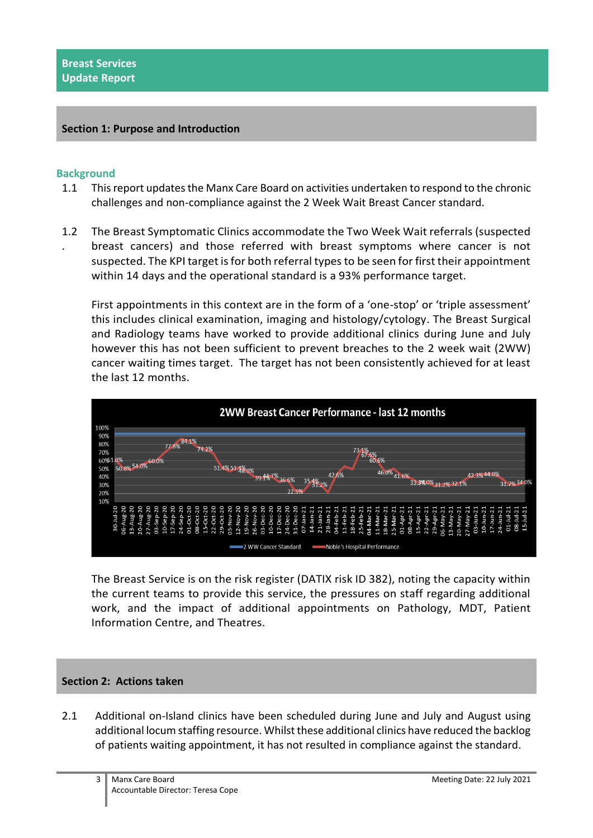## **Section 1: Purpose and Introduction**

## **Background**

- 1.1 This report updates the Manx Care Board on activities undertaken to respond to the chronic challenges and non-compliance against the 2 Week Wait Breast Cancer standard.
- 1.2 The Breast Symptomatic Clinics accommodate the Two Week Wait referrals (suspected . breast cancers) and those referred with breast symptoms where cancer is not suspected. The KPI target is for both referral types to be seen for first their appointment within 14 days and the operational standard is a 93% performance target.

First appointments in this context are in the form of a 'one-stop' or 'triple assessment' this includes clinical examination, imaging and histology/cytology. The Breast Surgical and Radiology teams have worked to provide additional clinics during June and July however this has not been sufficient to prevent breaches to the 2 week wait (2WW) cancer waiting times target. The target has not been consistently achieved for at least the last 12 months.



The Breast Service is on the risk register (DATIX risk ID 382), noting the capacity within the current teams to provide this service, the pressures on staff regarding additional work, and the impact of additional appointments on Pathology, MDT, Patient Information Centre, and Theatres.

## **Section 2: Actions taken**

2.1 Additional on-Island clinics have been scheduled during June and July and August using additional locum staffing resource. Whilst these additional clinics have reduced the backlog of patients waiting appointment, it has not resulted in compliance against the standard.